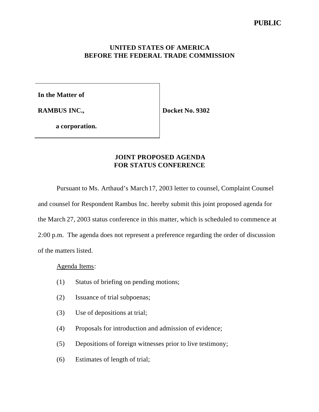## **PUBLIC**

## **UNITED STATES OF AMERICA BEFORE THE FEDERAL TRADE COMMISSION**

**In the Matter of**

**RAMBUS INC.,**

**Docket No. 9302**

**a corporation.**

## **JOINT PROPOSED AGENDA FOR STATUS CONFERENCE**

Pursuant to Ms. Arthaud's March 17, 2003 letter to counsel, Complaint Counsel and counsel for Respondent Rambus Inc. hereby submit this joint proposed agenda for the March 27, 2003 status conference in this matter, which is scheduled to commence at 2:00 p.m. The agenda does not represent a preference regarding the order of discussion of the matters listed.

Agenda Items:

- (1) Status of briefing on pending motions;
- (2) Issuance of trial subpoenas;
- (3) Use of depositions at trial;
- (4) Proposals for introduction and admission of evidence;
- (5) Depositions of foreign witnesses prior to live testimony;
- (6) Estimates of length of trial;